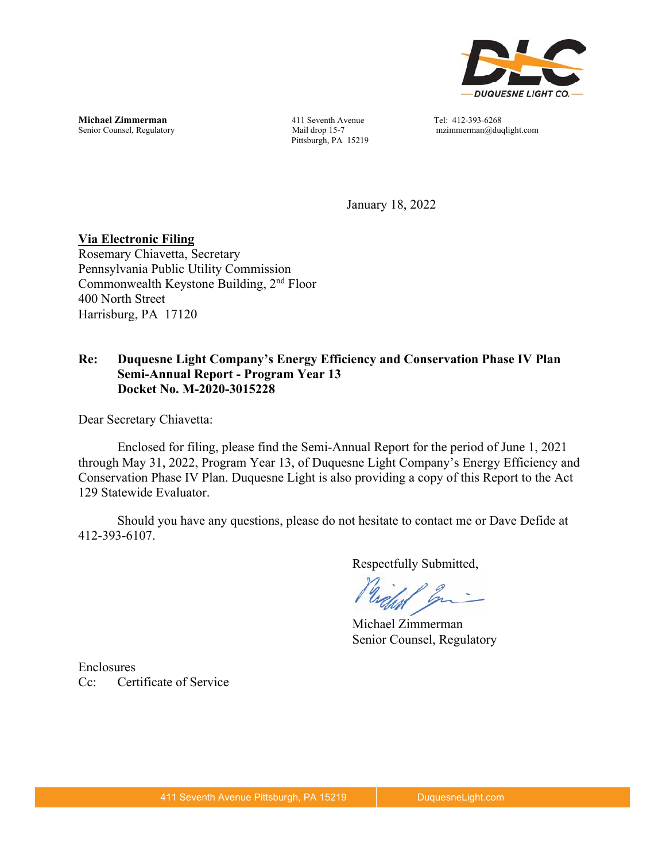

**Michael Zimmerman 111 Seventh Avenue** Tel: 412-393-6268<br>
Senior Counsel, Regulatory **12.1393** Mail drop 15-7 mzimmerman@du

Pittsburgh, PA 15219

 $mzimmerman@duqlight.com$ 

January 18, 2022

#### **Via Electronic Filing**

Rosemary Chiavetta, Secretary Pennsylvania Public Utility Commission Commonwealth Keystone Building, 2nd Floor 400 North Street Harrisburg, PA 17120

#### **Re: Duquesne Light Company's Energy Efficiency and Conservation Phase IV Plan Semi-Annual Report - Program Year 13 Docket No. M-2020-3015228**

Dear Secretary Chiavetta:

Enclosed for filing, please find the Semi-Annual Report for the period of June 1, 2021 through May 31, 2022, Program Year 13, of Duquesne Light Company's Energy Efficiency and Conservation Phase IV Plan. Duquesne Light is also providing a copy of this Report to the Act 129 Statewide Evaluator.

Should you have any questions, please do not hesitate to contact me or Dave Defide at 412-393-6107.

Respectfully Submitted,

Michael Zimmerman Senior Counsel, Regulatory

Enclosures Cc: Certificate of Service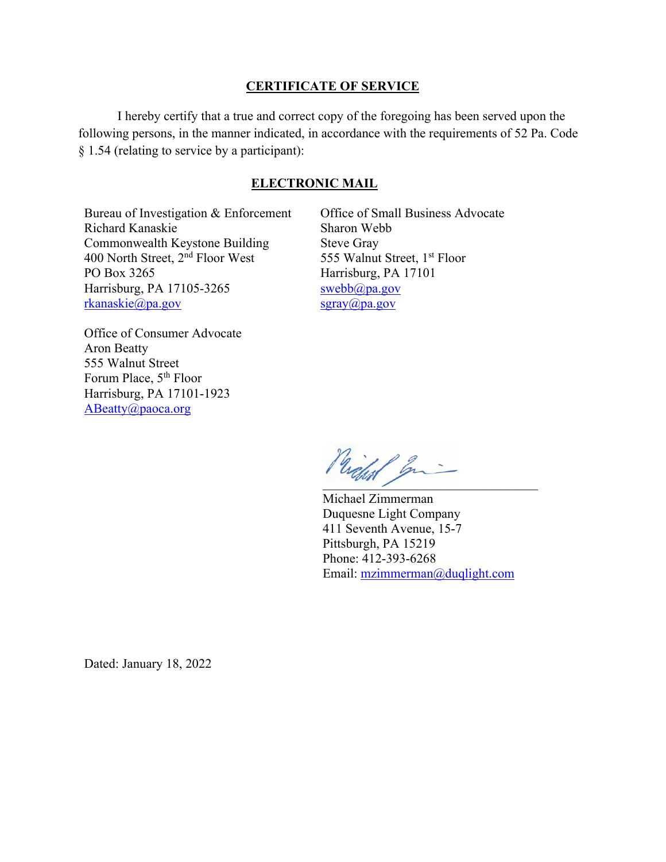#### **CERTIFICATE OF SERVICE**

I hereby certify that a true and correct copy of the foregoing has been served upon the following persons, in the manner indicated, in accordance with the requirements of 52 Pa. Code § 1.54 (relating to service by a participant):

#### **ELECTRONIC MAIL**

Bureau of Investigation & Enforcement Richard Kanaskie Commonwealth Keystone Building 400 North Street, 2nd Floor West PO Box 3265 Harrisburg, PA 17105-3265 rkanaskie@pa.gov

Office of Small Business Advocate Sharon Webb Steve Gray 555 Walnut Street, 1<sup>st</sup> Floor Harrisburg, PA 17101 swebb@pa.gov sgray@pa.gov

Office of Consumer Advocate Aron Beatty 555 Walnut Street Forum Place, 5<sup>th</sup> Floor Harrisburg, PA 17101-1923 ABeatty@paoca.org

Prickal gri

Michael Zimmerman Duquesne Light Company 411 Seventh Avenue, 15-7 Pittsburgh, PA 15219 Phone: 412-393-6268 Email: mzimmerman@duqlight.com

Dated: January 18, 2022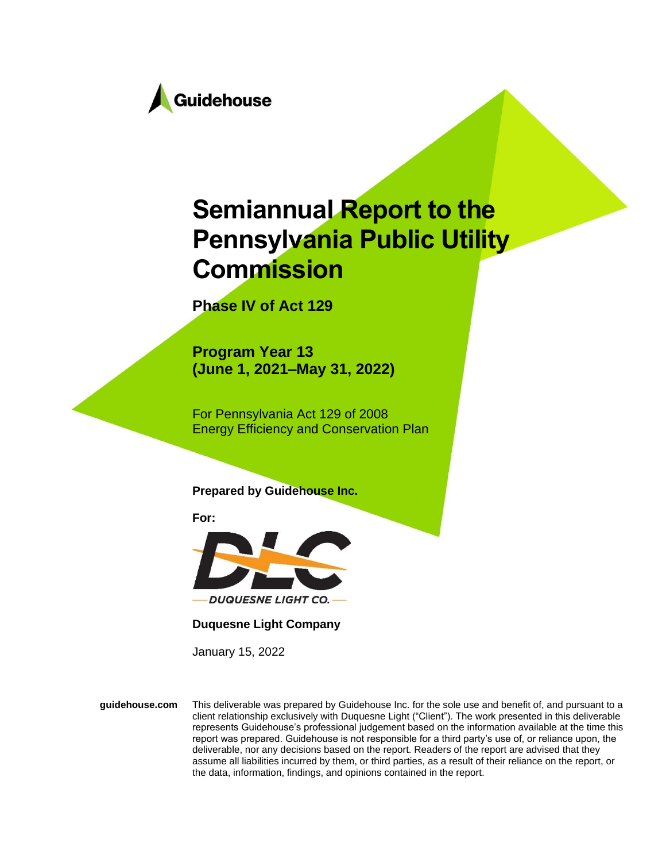

# **Semiannual Report to the Pennsylvania Public Utility Commission**

**Phase IV of Act 129**

**Program Year 13 (June 1, 2021–May 31, 2022)**

For Pennsylvania Act 129 of 2008 Energy Efficiency and Conservation Plan

**Prepared by Guidehouse Inc.**

**For:**



**Duquesne Light Company**

January 15, 2022

**guidehouse.com** This deliverable was prepared by Guidehouse Inc. for the sole use and benefit of, and pursuant to a client relationship exclusively with Duquesne Light ("Client"). The work presented in this deliverable represents Guidehouse's professional judgement based on the information available at the time this report was prepared. Guidehouse is not responsible for a third party's use of, or reliance upon, the deliverable, nor any decisions based on the report. Readers of the report are advised that they assume all liabilities incurred by them, or third parties, as a result of their reliance on the report, or the data, information, findings, and opinions contained in the report.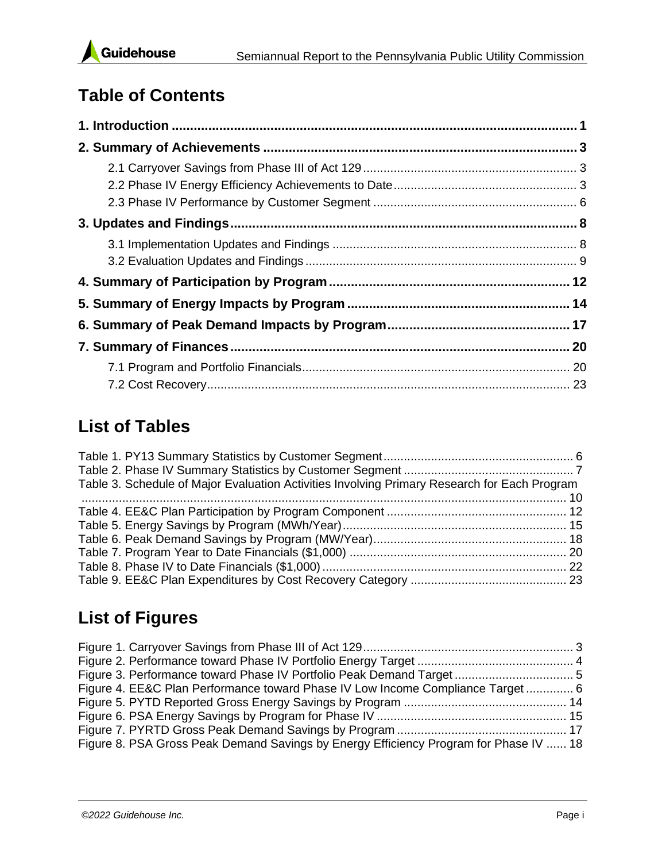

# **Table of Contents**

# **List of Tables**

| Table 3. Schedule of Major Evaluation Activities Involving Primary Research for Each Program |  |
|----------------------------------------------------------------------------------------------|--|
|                                                                                              |  |
|                                                                                              |  |
|                                                                                              |  |
|                                                                                              |  |
|                                                                                              |  |
|                                                                                              |  |
|                                                                                              |  |

# **List of Figures**

| Figure 4. EE&C Plan Performance toward Phase IV Low Income Compliance Target 6        |  |
|---------------------------------------------------------------------------------------|--|
|                                                                                       |  |
|                                                                                       |  |
|                                                                                       |  |
| Figure 8. PSA Gross Peak Demand Savings by Energy Efficiency Program for Phase IV  18 |  |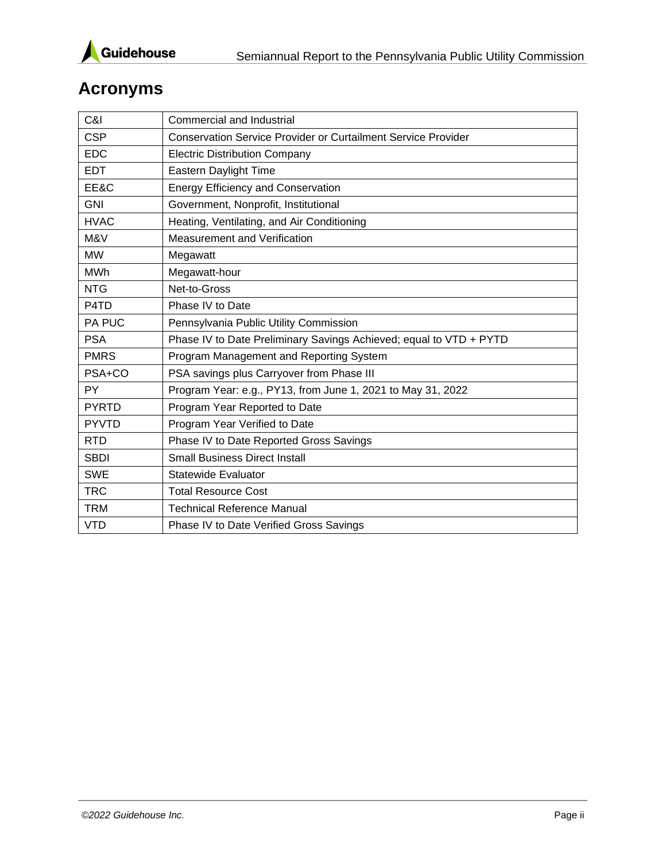

# **Acronyms**

| C&I                           | Commercial and Industrial                                            |
|-------------------------------|----------------------------------------------------------------------|
| <b>CSP</b>                    | <b>Conservation Service Provider or Curtailment Service Provider</b> |
| <b>EDC</b>                    | <b>Electric Distribution Company</b>                                 |
| <b>EDT</b>                    | Eastern Daylight Time                                                |
| EE&C                          | <b>Energy Efficiency and Conservation</b>                            |
| <b>GNI</b>                    | Government, Nonprofit, Institutional                                 |
| <b>HVAC</b>                   | Heating, Ventilating, and Air Conditioning                           |
| M&V                           | <b>Measurement and Verification</b>                                  |
| <b>MW</b>                     | Megawatt                                                             |
| <b>MWh</b>                    | Megawatt-hour                                                        |
| <b>NTG</b>                    | Net-to-Gross                                                         |
| P <sub>4</sub> T <sub>D</sub> | Phase IV to Date                                                     |
| PA PUC                        | Pennsylvania Public Utility Commission                               |
| <b>PSA</b>                    | Phase IV to Date Preliminary Savings Achieved; equal to VTD + PYTD   |
| <b>PMRS</b>                   | Program Management and Reporting System                              |
| PSA+CO                        | PSA savings plus Carryover from Phase III                            |
| <b>PY</b>                     | Program Year: e.g., PY13, from June 1, 2021 to May 31, 2022          |
| <b>PYRTD</b>                  | Program Year Reported to Date                                        |
| <b>PYVTD</b>                  | Program Year Verified to Date                                        |
| <b>RTD</b>                    | Phase IV to Date Reported Gross Savings                              |
| <b>SBDI</b>                   | <b>Small Business Direct Install</b>                                 |
| <b>SWE</b>                    | <b>Statewide Evaluator</b>                                           |
| <b>TRC</b>                    | <b>Total Resource Cost</b>                                           |
| <b>TRM</b>                    | <b>Technical Reference Manual</b>                                    |
| <b>VTD</b>                    | Phase IV to Date Verified Gross Savings                              |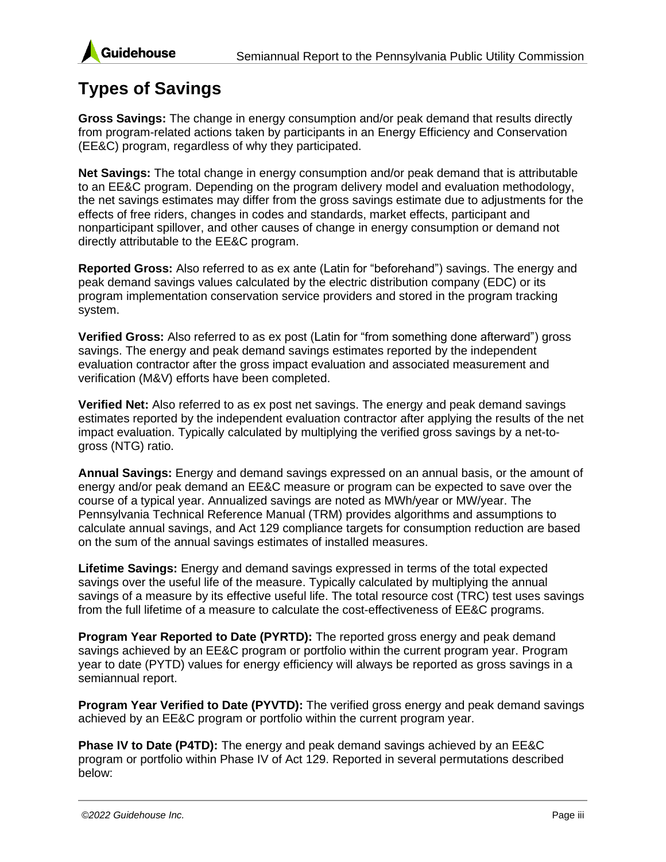



### **Types of Savings**

**Gross Savings:** The change in energy consumption and/or peak demand that results directly from program-related actions taken by participants in an Energy Efficiency and Conservation (EE&C) program, regardless of why they participated.

**Net Savings:** The total change in energy consumption and/or peak demand that is attributable to an EE&C program. Depending on the program delivery model and evaluation methodology, the net savings estimates may differ from the gross savings estimate due to adjustments for the effects of free riders, changes in codes and standards, market effects, participant and nonparticipant spillover, and other causes of change in energy consumption or demand not directly attributable to the EE&C program.

**Reported Gross:** Also referred to as ex ante (Latin for "beforehand") savings. The energy and peak demand savings values calculated by the electric distribution company (EDC) or its program implementation conservation service providers and stored in the program tracking system.

**Verified Gross:** Also referred to as ex post (Latin for "from something done afterward") gross savings. The energy and peak demand savings estimates reported by the independent evaluation contractor after the gross impact evaluation and associated measurement and verification (M&V) efforts have been completed.

**Verified Net:** Also referred to as ex post net savings. The energy and peak demand savings estimates reported by the independent evaluation contractor after applying the results of the net impact evaluation. Typically calculated by multiplying the verified gross savings by a net-togross (NTG) ratio.

**Annual Savings:** Energy and demand savings expressed on an annual basis, or the amount of energy and/or peak demand an EE&C measure or program can be expected to save over the course of a typical year. Annualized savings are noted as MWh/year or MW/year. The Pennsylvania Technical Reference Manual (TRM) provides algorithms and assumptions to calculate annual savings, and Act 129 compliance targets for consumption reduction are based on the sum of the annual savings estimates of installed measures.

**Lifetime Savings:** Energy and demand savings expressed in terms of the total expected savings over the useful life of the measure. Typically calculated by multiplying the annual savings of a measure by its effective useful life. The total resource cost (TRC) test uses savings from the full lifetime of a measure to calculate the cost-effectiveness of EE&C programs.

**Program Year Reported to Date (PYRTD):** The reported gross energy and peak demand savings achieved by an EE&C program or portfolio within the current program year. Program year to date (PYTD) values for energy efficiency will always be reported as gross savings in a semiannual report.

**Program Year Verified to Date (PYVTD):** The verified gross energy and peak demand savings achieved by an EE&C program or portfolio within the current program year.

**Phase IV to Date (P4TD):** The energy and peak demand savings achieved by an EE&C program or portfolio within Phase IV of Act 129. Reported in several permutations described below: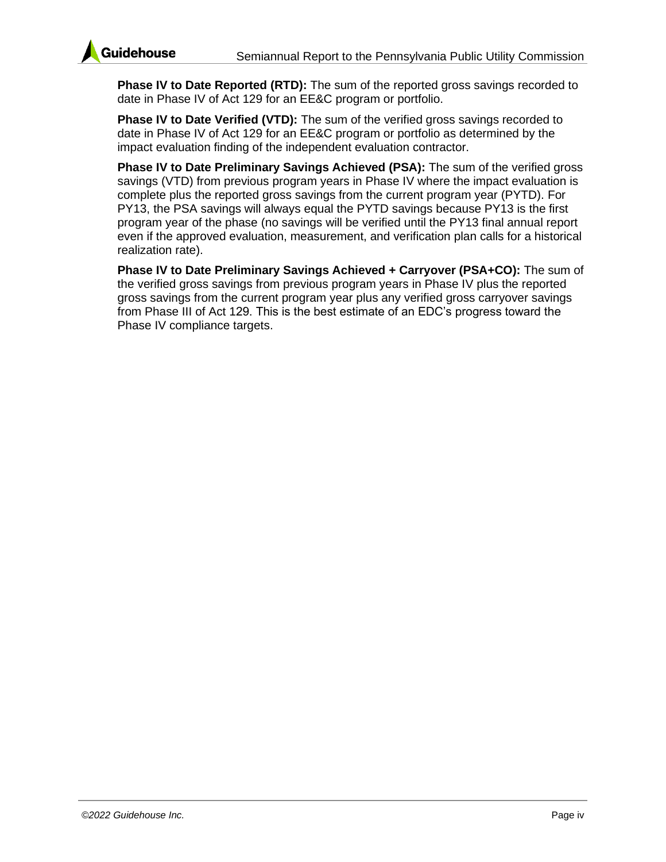

**Phase IV to Date Reported (RTD):** The sum of the reported gross savings recorded to date in Phase IV of Act 129 for an EE&C program or portfolio.

**Phase IV to Date Verified (VTD):** The sum of the verified gross savings recorded to date in Phase IV of Act 129 for an EE&C program or portfolio as determined by the impact evaluation finding of the independent evaluation contractor.

**Phase IV to Date Preliminary Savings Achieved (PSA):** The sum of the verified gross savings (VTD) from previous program years in Phase IV where the impact evaluation is complete plus the reported gross savings from the current program year (PYTD). For PY13, the PSA savings will always equal the PYTD savings because PY13 is the first program year of the phase (no savings will be verified until the PY13 final annual report even if the approved evaluation, measurement, and verification plan calls for a historical realization rate).

**Phase IV to Date Preliminary Savings Achieved + Carryover (PSA+CO):** The sum of the verified gross savings from previous program years in Phase IV plus the reported gross savings from the current program year plus any verified gross carryover savings from Phase III of Act 129. This is the best estimate of an EDC's progress toward the Phase IV compliance targets.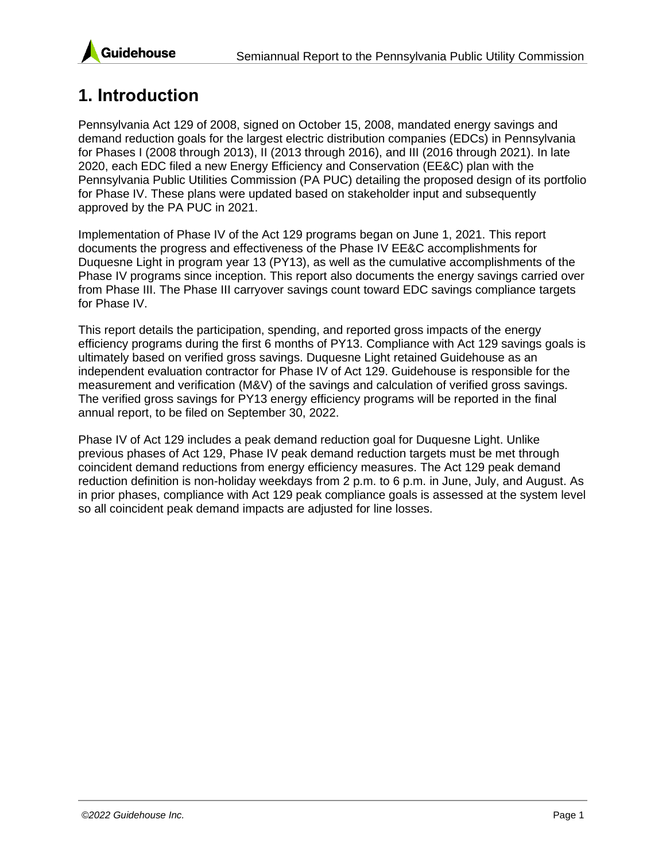

# <span id="page-7-0"></span>**1. Introduction**

Pennsylvania Act 129 of 2008, signed on October 15, 2008, mandated energy savings and demand reduction goals for the largest electric distribution companies (EDCs) in Pennsylvania for Phases I (2008 through 2013), II (2013 through 2016), and III (2016 through 2021). In late 2020, each EDC filed a new Energy Efficiency and Conservation (EE&C) plan with the Pennsylvania Public Utilities Commission (PA PUC) detailing the proposed design of its portfolio for Phase IV. These plans were updated based on stakeholder input and subsequently approved by the PA PUC in 2021.

Implementation of Phase IV of the Act 129 programs began on June 1, 2021. This report documents the progress and effectiveness of the Phase IV EE&C accomplishments for Duquesne Light in program year 13 (PY13), as well as the cumulative accomplishments of the Phase IV programs since inception. This report also documents the energy savings carried over from Phase III. The Phase III carryover savings count toward EDC savings compliance targets for Phase IV.

This report details the participation, spending, and reported gross impacts of the energy efficiency programs during the first 6 months of PY13. Compliance with Act 129 savings goals is ultimately based on verified gross savings. Duquesne Light retained Guidehouse as an independent evaluation contractor for Phase IV of Act 129. Guidehouse is responsible for the measurement and verification (M&V) of the savings and calculation of verified gross savings. The verified gross savings for PY13 energy efficiency programs will be reported in the final annual report, to be filed on September 30, 2022.

Phase IV of Act 129 includes a peak demand reduction goal for Duquesne Light. Unlike previous phases of Act 129, Phase IV peak demand reduction targets must be met through coincident demand reductions from energy efficiency measures. The Act 129 peak demand reduction definition is non-holiday weekdays from 2 p.m. to 6 p.m. in June, July, and August. As in prior phases, compliance with Act 129 peak compliance goals is assessed at the system level so all coincident peak demand impacts are adjusted for line losses.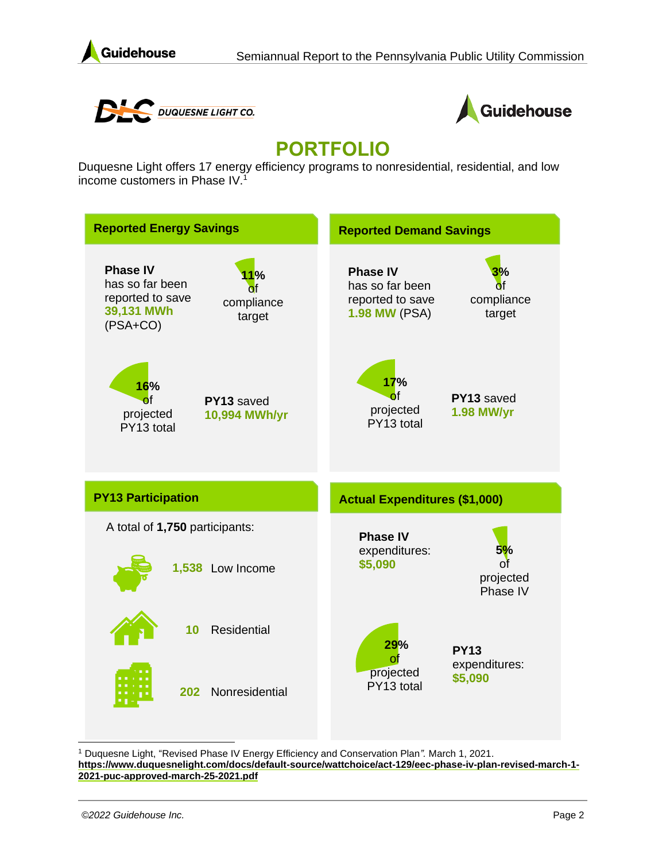





# **PORTFOLIO**

Duquesne Light offers 17 energy efficiency programs to nonresidential, residential, and low income customers in Phase IV.<sup>1</sup>



<sup>1</sup> Duquesne Light, "Revised Phase IV Energy Efficiency and Conservation Plan*".* March 1, 2021. **[https://www.duquesnelight.com/docs/default-source/wattchoice/act-129/eec-phase-iv-plan-revised-march-1-](https://www.duquesnelight.com/docs/default-source/wattchoice/act-129/eec-phase-iv-plan-revised-march-1-2021-puc-approved-march-25-2021.pdf) [2021-puc-approved-march-25-2021.pdf](https://www.duquesnelight.com/docs/default-source/wattchoice/act-129/eec-phase-iv-plan-revised-march-1-2021-puc-approved-march-25-2021.pdf)**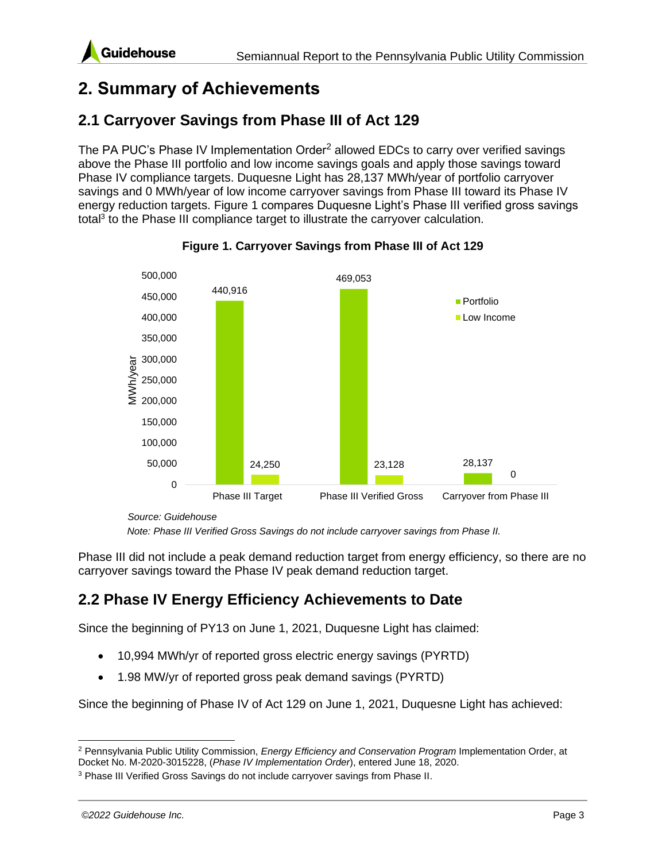# <span id="page-9-0"></span>**2. Summary of Achievements**

### <span id="page-9-1"></span>**2.1 Carryover Savings from Phase III of Act 129**

The PA PUC's Phase IV Implementation Order<sup>2</sup> allowed EDCs to carry over verified savings above the Phase III portfolio and low income savings goals and apply those savings toward Phase IV compliance targets. Duquesne Light has 28,137 MWh/year of portfolio carryover savings and 0 MWh/year of low income carryover savings from Phase III toward its Phase IV energy reduction targets. [Figure 1](#page-9-3) compares Duquesne Light's Phase III verified gross savings total<sup>3</sup> to the Phase III compliance target to illustrate the carryover calculation.

<span id="page-9-3"></span>

**Figure 1. Carryover Savings from Phase III of Act 129**

*Source: Guidehouse*

*Note: Phase III Verified Gross Savings do not include carryover savings from Phase II.* 

Phase III did not include a peak demand reduction target from energy efficiency, so there are no carryover savings toward the Phase IV peak demand reduction target.

### <span id="page-9-2"></span>**2.2 Phase IV Energy Efficiency Achievements to Date**

Since the beginning of PY13 on June 1, 2021, Duquesne Light has claimed:

- 10,994 MWh/yr of reported gross electric energy savings (PYRTD)
- 1.98 MW/yr of reported gross peak demand savings (PYRTD)

Since the beginning of Phase IV of Act 129 on June 1, 2021, Duquesne Light has achieved:

<sup>2</sup> Pennsylvania Public Utility Commission, *Energy Efficiency and Conservation Program* Implementation Order, at Docket No. M-2020-3015228, (*Phase IV Implementation Order*), entered June 18, 2020.

<sup>&</sup>lt;sup>3</sup> Phase III Verified Gross Savings do not include carryover savings from Phase II.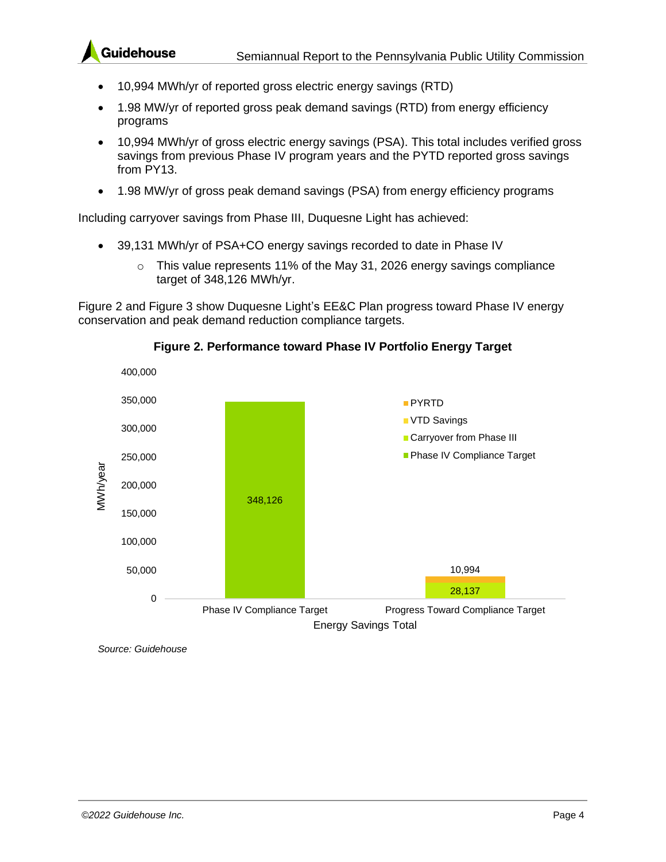- 10,994 MWh/yr of reported gross electric energy savings (RTD)
- 1.98 MW/yr of reported gross peak demand savings (RTD) from energy efficiency programs
- 10,994 MWh/yr of gross electric energy savings (PSA). This total includes verified gross savings from previous Phase IV program years and the PYTD reported gross savings from PY13.
- 1.98 MW/yr of gross peak demand savings (PSA) from energy efficiency programs

Including carryover savings from Phase III, Duquesne Light has achieved:

- 39,131 MWh/yr of PSA+CO energy savings recorded to date in Phase IV
	- $\circ$  This value represents 11% of the May 31, 2026 energy savings compliance target of 348,126 MWh/yr.

[Figure 2](#page-10-0) and [Figure 3](#page-11-0) show Duquesne Light's EE&C Plan progress toward Phase IV energy conservation and peak demand reduction compliance targets.

<span id="page-10-0"></span>

#### **Figure 2. Performance toward Phase IV Portfolio Energy Target**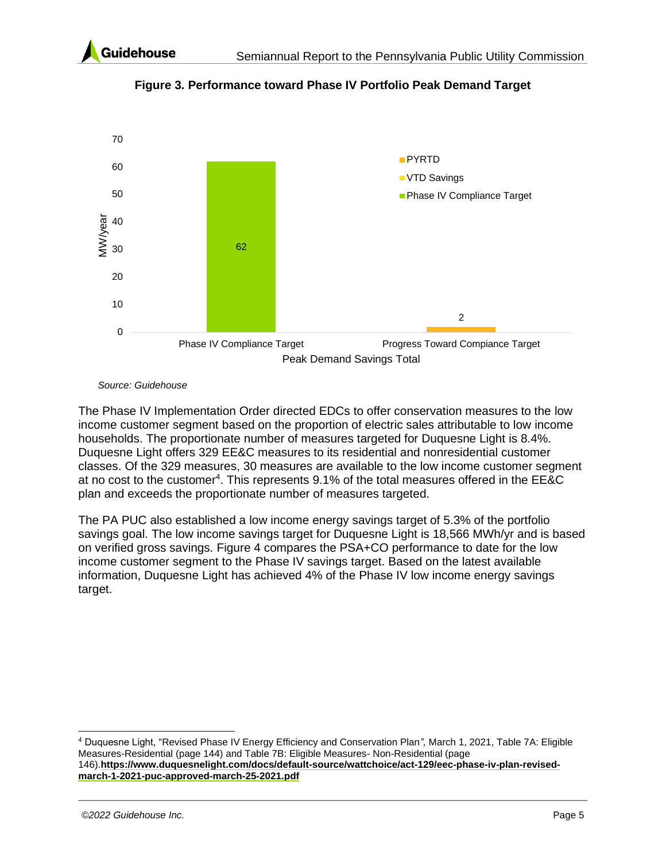<span id="page-11-0"></span>

**Figure 3. Performance toward Phase IV Portfolio Peak Demand Target**



The Phase IV Implementation Order directed EDCs to offer conservation measures to the low income customer segment based on the proportion of electric sales attributable to low income households. The proportionate number of measures targeted for Duquesne Light is 8.4%. Duquesne Light offers 329 EE&C measures to its residential and nonresidential customer classes. Of the 329 measures, 30 measures are available to the low income customer segment at no cost to the customer<sup>4</sup>. This represents 9.1% of the total measures offered in the EE&C plan and exceeds the proportionate number of measures targeted.

The PA PUC also established a low income energy savings target of 5.3% of the portfolio savings goal. The low income savings target for Duquesne Light is 18,566 MWh/yr and is based on verified gross savings. [Figure 4](#page-12-2) compares the PSA+CO performance to date for the low income customer segment to the Phase IV savings target. Based on the latest available information, Duquesne Light has achieved 4% of the Phase IV low income energy savings target.

<sup>4</sup> Duquesne Light, "Revised Phase IV Energy Efficiency and Conservation Plan*",* March 1, 2021, Table 7A: Eligible Measures-Residential (page 144) and Table 7B: Eligible Measures- Non-Residential (page 146).**[https://www.duquesnelight.com/docs/default-source/wattchoice/act-129/eec-phase-iv-plan-revised](https://www.duquesnelight.com/docs/default-source/wattchoice/act-129/eec-phase-iv-plan-revised-march-1-2021-puc-approved-march-25-2021.pdf)[march-1-2021-puc-approved-march-25-2021.pdf](https://www.duquesnelight.com/docs/default-source/wattchoice/act-129/eec-phase-iv-plan-revised-march-1-2021-puc-approved-march-25-2021.pdf)**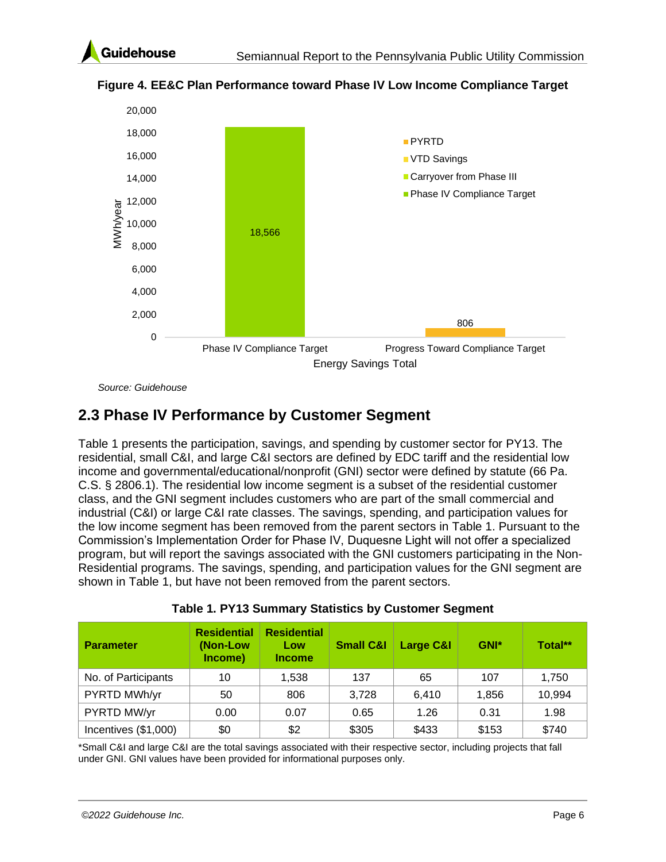

<span id="page-12-2"></span>**Figure 4. EE&C Plan Performance toward Phase IV Low Income Compliance Target**

*Source: Guidehouse*

### <span id="page-12-0"></span>**2.3 Phase IV Performance by Customer Segment**

[Table 1](#page-12-1) presents the participation, savings, and spending by customer sector for PY13. The residential, small C&I, and large C&I sectors are defined by EDC tariff and the residential low income and governmental/educational/nonprofit (GNI) sector were defined by statute (66 Pa. C.S. § 2806.1). The residential low income segment is a subset of the residential customer class, and the GNI segment includes customers who are part of the small commercial and industrial (C&I) or large C&I rate classes. The savings, spending, and participation values for the low income segment has been removed from the parent sectors in [Table 1.](#page-12-1) Pursuant to the Commission's Implementation Order for Phase IV, Duquesne Light will not offer a specialized program, but will report the savings associated with the GNI customers participating in the Non-Residential programs. The savings, spending, and participation values for the GNI segment are shown in [Table 1,](#page-12-1) but have not been removed from the parent sectors.

<span id="page-12-1"></span>

| <b>Parameter</b>     | <b>Residential</b><br>(Non-Low)<br>Income) | <b>Residential</b><br>Low<br><b>Income</b> | <b>Small C&amp;I</b> | <b>Large C&amp;I</b> | GNI*  | Total** |
|----------------------|--------------------------------------------|--------------------------------------------|----------------------|----------------------|-------|---------|
| No. of Participants  | 10                                         | 1,538                                      | 137                  | 65                   | 107   | 1,750   |
| PYRTD MWh/yr         | 50                                         | 806                                        | 3,728                | 6,410                | 1.856 | 10,994  |
| PYRTD MW/yr          | 0.00                                       | 0.07                                       | 0.65                 | 1.26                 | 0.31  | 1.98    |
| Incentives (\$1,000) | \$0                                        | \$2                                        | \$305                | \$433                | \$153 | \$740   |

**Table 1. PY13 Summary Statistics by Customer Segment**

\*Small C&I and large C&I are the total savings associated with their respective sector, including projects that fall under GNI. GNI values have been provided for informational purposes only.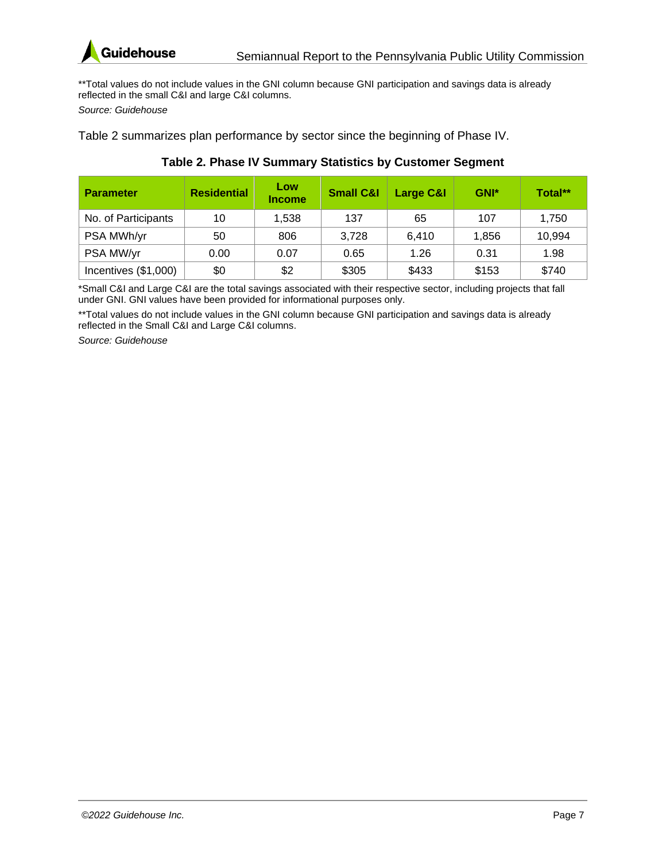

\*\*Total values do not include values in the GNI column because GNI participation and savings data is already reflected in the small C&I and large C&I columns.

*Source: Guidehouse*

[Table 2](#page-13-0) summarizes plan performance by sector since the beginning of Phase IV.

<span id="page-13-0"></span>

| <b>Parameter</b>     | <b>Residential</b> | Low<br><b>Income</b> | <b>Small C&amp;I</b> | Large C&I | GNI*  | Total** |
|----------------------|--------------------|----------------------|----------------------|-----------|-------|---------|
| No. of Participants  | 10                 | 1,538                | 137                  | 65        | 107   | 1,750   |
| PSA MWh/yr           | 50                 | 806                  | 3,728                | 6.410     | 1,856 | 10,994  |
| PSA MW/yr            | 0.00               | 0.07                 | 0.65                 | 1.26      | 0.31  | 1.98    |
| Incentives (\$1,000) | \$0                | \$2                  | \$305                | \$433     | \$153 | \$740   |

#### **Table 2. Phase IV Summary Statistics by Customer Segment**

\*Small C&I and Large C&I are the total savings associated with their respective sector, including projects that fall under GNI. GNI values have been provided for informational purposes only.

\*\*Total values do not include values in the GNI column because GNI participation and savings data is already reflected in the Small C&I and Large C&I columns.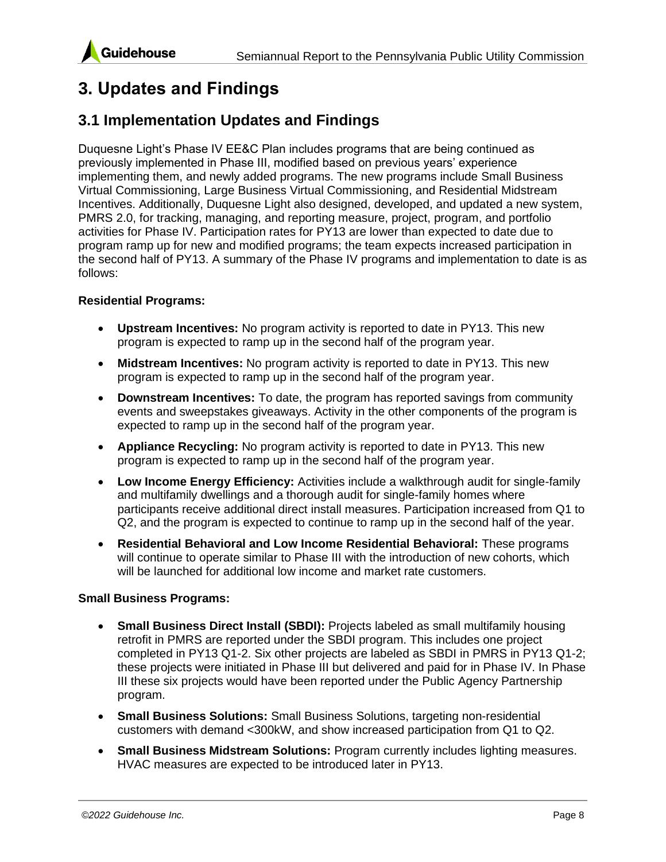

# <span id="page-14-0"></span>**3. Updates and Findings**

### <span id="page-14-1"></span>**3.1 Implementation Updates and Findings**

Duquesne Light's Phase IV EE&C Plan includes programs that are being continued as previously implemented in Phase III, modified based on previous years' experience implementing them, and newly added programs. The new programs include Small Business Virtual Commissioning, Large Business Virtual Commissioning, and Residential Midstream Incentives. Additionally, Duquesne Light also designed, developed, and updated a new system, PMRS 2.0, for tracking, managing, and reporting measure, project, program, and portfolio activities for Phase IV. Participation rates for PY13 are lower than expected to date due to program ramp up for new and modified programs; the team expects increased participation in the second half of PY13. A summary of the Phase IV programs and implementation to date is as follows:

#### **Residential Programs:**

- **Upstream Incentives:** No program activity is reported to date in PY13. This new program is expected to ramp up in the second half of the program year.
- **Midstream Incentives:** No program activity is reported to date in PY13. This new program is expected to ramp up in the second half of the program year.
- **Downstream Incentives:** To date, the program has reported savings from community events and sweepstakes giveaways. Activity in the other components of the program is expected to ramp up in the second half of the program year.
- **Appliance Recycling:** No program activity is reported to date in PY13. This new program is expected to ramp up in the second half of the program year.
- **Low Income Energy Efficiency:** Activities include a walkthrough audit for single-family and multifamily dwellings and a thorough audit for single-family homes where participants receive additional direct install measures. Participation increased from Q1 to Q2, and the program is expected to continue to ramp up in the second half of the year.
- **Residential Behavioral and Low Income Residential Behavioral:** These programs will continue to operate similar to Phase III with the introduction of new cohorts, which will be launched for additional low income and market rate customers.

#### **Small Business Programs:**

- **Small Business Direct Install (SBDI):** Projects labeled as small multifamily housing retrofit in PMRS are reported under the SBDI program. This includes one project completed in PY13 Q1-2. Six other projects are labeled as SBDI in PMRS in PY13 Q1-2; these projects were initiated in Phase III but delivered and paid for in Phase IV. In Phase III these six projects would have been reported under the Public Agency Partnership program.
- **Small Business Solutions:** Small Business Solutions, targeting non-residential customers with demand <300kW, and show increased participation from Q1 to Q2.
- **Small Business Midstream Solutions:** Program currently includes lighting measures. HVAC measures are expected to be introduced later in PY13.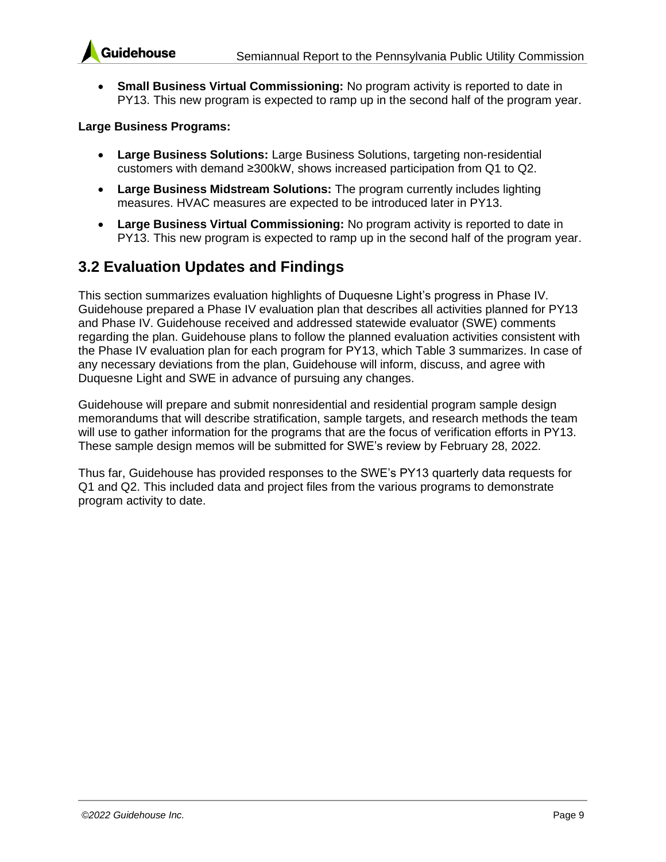



• **Small Business Virtual Commissioning:** No program activity is reported to date in PY13. This new program is expected to ramp up in the second half of the program year.

#### **Large Business Programs:**

- **Large Business Solutions:** Large Business Solutions, targeting non-residential customers with demand ≥300kW, shows increased participation from Q1 to Q2.
- **Large Business Midstream Solutions:** The program currently includes lighting measures. HVAC measures are expected to be introduced later in PY13.
- **Large Business Virtual Commissioning:** No program activity is reported to date in PY13. This new program is expected to ramp up in the second half of the program year.

#### <span id="page-15-0"></span>**3.2 Evaluation Updates and Findings**

This section summarizes evaluation highlights of Duquesne Light's progress in Phase IV. Guidehouse prepared a Phase IV evaluation plan that describes all activities planned for PY13 and Phase IV. Guidehouse received and addressed statewide evaluator (SWE) comments regarding the plan. Guidehouse plans to follow the planned evaluation activities consistent with the Phase IV evaluation plan for each program for PY13, which [Table 3](#page-16-0) summarizes. In case of any necessary deviations from the plan, Guidehouse will inform, discuss, and agree with Duquesne Light and SWE in advance of pursuing any changes.

Guidehouse will prepare and submit nonresidential and residential program sample design memorandums that will describe stratification, sample targets, and research methods the team will use to gather information for the programs that are the focus of verification efforts in PY13. These sample design memos will be submitted for SWE's review by February 28, 2022.

Thus far, Guidehouse has provided responses to the SWE's PY13 quarterly data requests for Q1 and Q2. This included data and project files from the various programs to demonstrate program activity to date.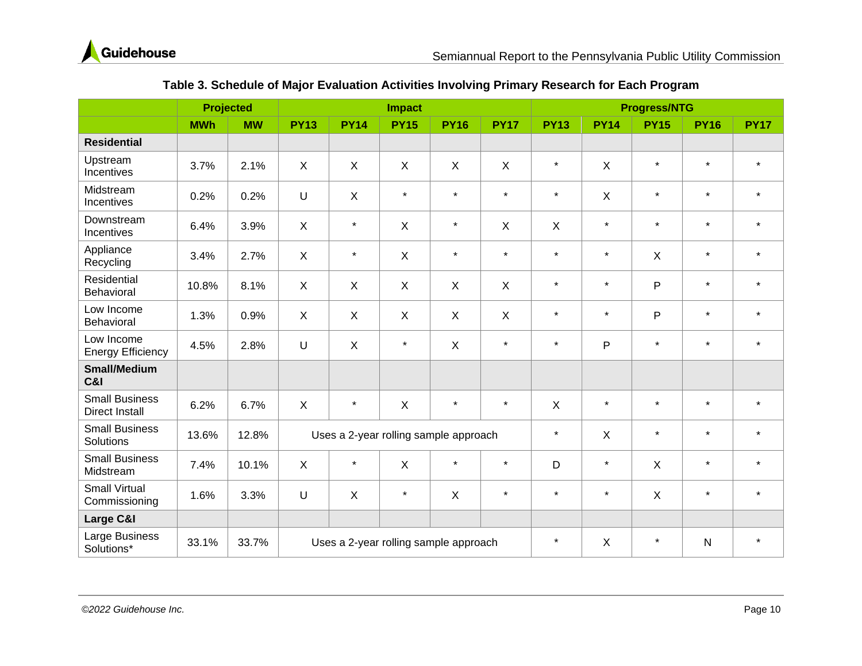

<span id="page-16-0"></span>

|                                                | <b>Projected</b> |           |                |              | <b>Impact</b>  |                                       |              | <b>Progress/NTG</b> |                           |              |             |             |
|------------------------------------------------|------------------|-----------|----------------|--------------|----------------|---------------------------------------|--------------|---------------------|---------------------------|--------------|-------------|-------------|
|                                                | <b>MWh</b>       | <b>MW</b> | <b>PY13</b>    | <b>PY14</b>  | <b>PY15</b>    | <b>PY16</b>                           | <b>PY17</b>  | <b>PY13</b>         | <b>PY14</b>               | <b>PY15</b>  | <b>PY16</b> | <b>PY17</b> |
| <b>Residential</b>                             |                  |           |                |              |                |                                       |              |                     |                           |              |             |             |
| Upstream<br>Incentives                         | 3.7%             | 2.1%      | X              | X            | X              | X                                     | $\mathsf{X}$ | $\star$             | $\boldsymbol{\mathsf{X}}$ | $\star$      | $\star$     | $\star$     |
| Midstream<br>Incentives                        | 0.2%             | 0.2%      | U              | $\mathsf{X}$ | $\star$        | $\star$                               | $\star$      | $\star$             | X                         | $\star$      | $\star$     | $\star$     |
| Downstream<br>Incentives                       | 6.4%             | 3.9%      | $\pmb{\times}$ | $\star$      | $\pmb{\times}$ | $\star$                               | X            | $\mathsf{X}$        | $\star$                   | $\star$      | $\star$     | $\star$     |
| Appliance<br>Recycling                         | 3.4%             | 2.7%      | $\sf X$        | $\star$      | $\mathsf{X}$   | $\star$                               | $\star$      | $\star$             | $\star$                   | $\times$     | $\star$     | $\star$     |
| Residential<br>Behavioral                      | 10.8%            | 8.1%      | $\mathsf{X}$   | $\mathsf{X}$ | $\pmb{\times}$ | $\boldsymbol{\mathsf{X}}$             | $\mathsf{X}$ | $\star$             | $\star$                   | $\mathsf{P}$ | $\star$     | $\star$     |
| Low Income<br>Behavioral                       | 1.3%             | 0.9%      | $\mathsf{X}$   | $\mathsf{X}$ | $\mathsf{X}$   | $\mathsf{X}$                          | $\mathsf{X}$ | $\star$             | $\star$                   | P            | $\star$     | $\star$     |
| Low Income<br><b>Energy Efficiency</b>         | 4.5%             | 2.8%      | U              | X            | $\star$        | $\sf X$                               | $\star$      | $\star$             | P                         | $\star$      | $\star$     | $\star$     |
| <b>Small/Medium</b><br>C&I                     |                  |           |                |              |                |                                       |              |                     |                           |              |             |             |
| <b>Small Business</b><br><b>Direct Install</b> | 6.2%             | 6.7%      | $\mathsf{X}$   | $\star$      | X              | $\star$                               | $\star$      | $\mathsf{X}$        | $\star$                   | $\star$      | $\star$     | $\star$     |
| <b>Small Business</b><br>Solutions             | 13.6%            | 12.8%     |                |              |                | Uses a 2-year rolling sample approach |              | $\star$             | $\mathsf{X}$              | $\star$      | $\star$     | $\star$     |
| <b>Small Business</b><br>Midstream             | 7.4%             | 10.1%     | $\mathsf{X}$   | $\star$      | $\pmb{\times}$ | $\star$                               | $\star$      | D                   | $\star$                   | $\times$     | $\star$     | $\star$     |
| <b>Small Virtual</b><br>Commissioning          | 1.6%             | 3.3%      | U              | $\sf X$      | $\star$        | $\sf X$                               | $\star$      | $\star$             | $\star$                   | $\sf X$      | $\star$     | $\star$     |
| Large C&I                                      |                  |           |                |              |                |                                       |              |                     |                           |              |             |             |
| Large Business<br>Solutions*                   | 33.1%            | 33.7%     |                |              |                | Uses a 2-year rolling sample approach |              | $\star$             | X                         | $\star$      | N           | $\star$     |

#### **Table 3. Schedule of Major Evaluation Activities Involving Primary Research for Each Program**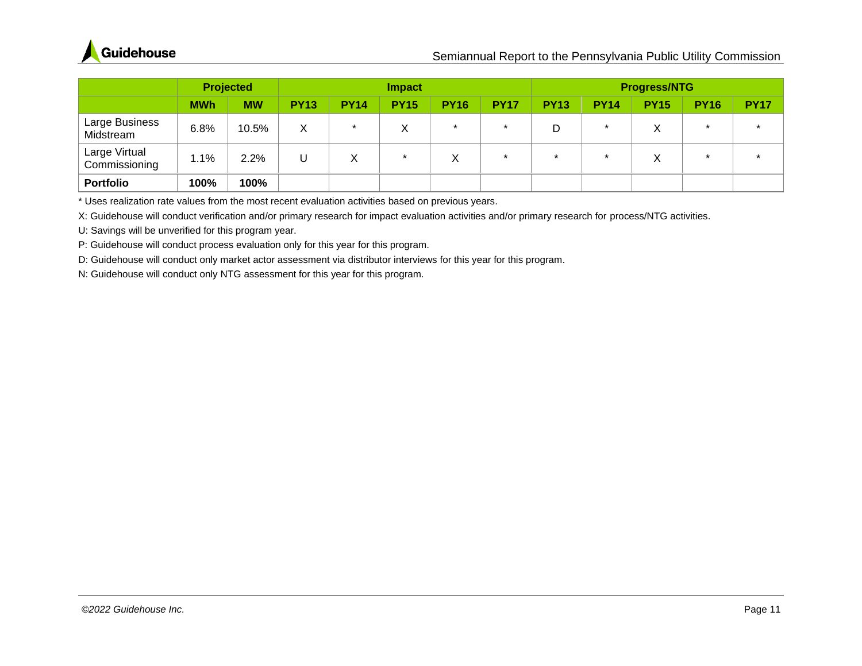

|                                | <b>Projected</b> |           |             | <b>Impact</b> |             |                   | <b>Progress/NTG</b> |             |             |             |             |             |
|--------------------------------|------------------|-----------|-------------|---------------|-------------|-------------------|---------------------|-------------|-------------|-------------|-------------|-------------|
|                                | <b>MWh</b>       | <b>MW</b> | <b>PY13</b> | <b>PY14</b>   | <b>PY15</b> | <b>PY16</b>       | <b>PY17</b>         | <b>PY13</b> | <b>PY14</b> | <b>PY15</b> | <b>PY16</b> | <b>PY17</b> |
| Large Business<br>Midstream    | 6.8%             | 10.5%     | Χ           | $\star$       | ∧           | $\star$           | $\star$             | D           |             |             | $\star$     |             |
| Large Virtual<br>Commissioning | 1.1%             | 2.2%      |             | Χ             | $\star$     | $\checkmark$<br>∧ | $\star$             | $\star$     |             | X           | $\star$     |             |
| <b>Portfolio</b>               | 100%             | 100%      |             |               |             |                   |                     |             |             |             |             |             |

\* Uses realization rate values from the most recent evaluation activities based on previous years.

X: Guidehouse will conduct verification and/or primary research for impact evaluation activities and/or primary research for process/NTG activities.

U: Savings will be unverified for this program year.

P: Guidehouse will conduct process evaluation only for this year for this program.

D: Guidehouse will conduct only market actor assessment via distributor interviews for this year for this program.

N: Guidehouse will conduct only NTG assessment for this year for this program*.*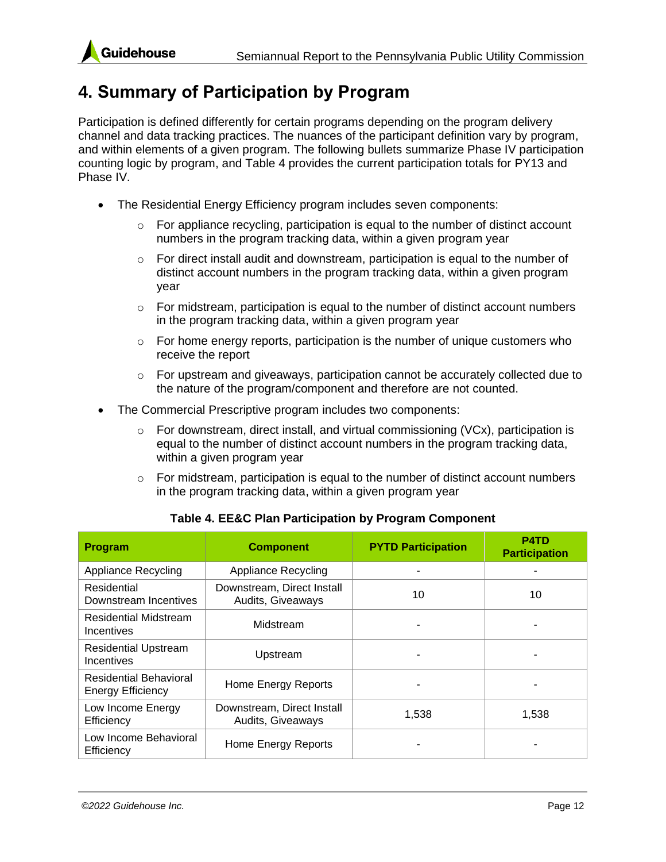

### <span id="page-18-0"></span>**4. Summary of Participation by Program**

Participation is defined differently for certain programs depending on the program delivery channel and data tracking practices. The nuances of the participant definition vary by program, and within elements of a given program. The following bullets summarize Phase IV participation counting logic by program, and [Table 4](#page-18-1) provides the current participation totals for PY13 and Phase IV.

- The Residential Energy Efficiency program includes seven components:
	- $\circ$  For appliance recycling, participation is equal to the number of distinct account numbers in the program tracking data, within a given program year
	- $\circ$  For direct install audit and downstream, participation is equal to the number of distinct account numbers in the program tracking data, within a given program year
	- $\circ$  For midstream, participation is equal to the number of distinct account numbers in the program tracking data, within a given program year
	- $\circ$  For home energy reports, participation is the number of unique customers who receive the report
	- $\circ$  For upstream and giveaways, participation cannot be accurately collected due to the nature of the program/component and therefore are not counted.
- The Commercial Prescriptive program includes two components:
	- $\circ$  For downstream, direct install, and virtual commissioning (VCx), participation is equal to the number of distinct account numbers in the program tracking data, within a given program year
	- $\circ$  For midstream, participation is equal to the number of distinct account numbers in the program tracking data, within a given program year

<span id="page-18-1"></span>

| <b>Program</b>                                            | <b>Component</b>                                | <b>PYTD Participation</b> | <b>P4TD</b><br><b>Participation</b> |
|-----------------------------------------------------------|-------------------------------------------------|---------------------------|-------------------------------------|
| <b>Appliance Recycling</b>                                | <b>Appliance Recycling</b>                      |                           |                                     |
| Residential<br>Downstream Incentives                      | Downstream, Direct Install<br>Audits, Giveaways | 10                        | 10                                  |
| <b>Residential Midstream</b><br>Incentives                | Midstream                                       |                           |                                     |
| <b>Residential Upstream</b><br>Incentives                 | Upstream                                        |                           |                                     |
| <b>Residential Behavioral</b><br><b>Energy Efficiency</b> | Home Energy Reports                             |                           |                                     |
| Low Income Energy<br>Efficiency                           | Downstream, Direct Install<br>Audits, Giveaways | 1,538                     | 1,538                               |
| Low Income Behavioral<br>Efficiency                       | Home Energy Reports                             |                           |                                     |

#### **Table 4. EE&C Plan Participation by Program Component**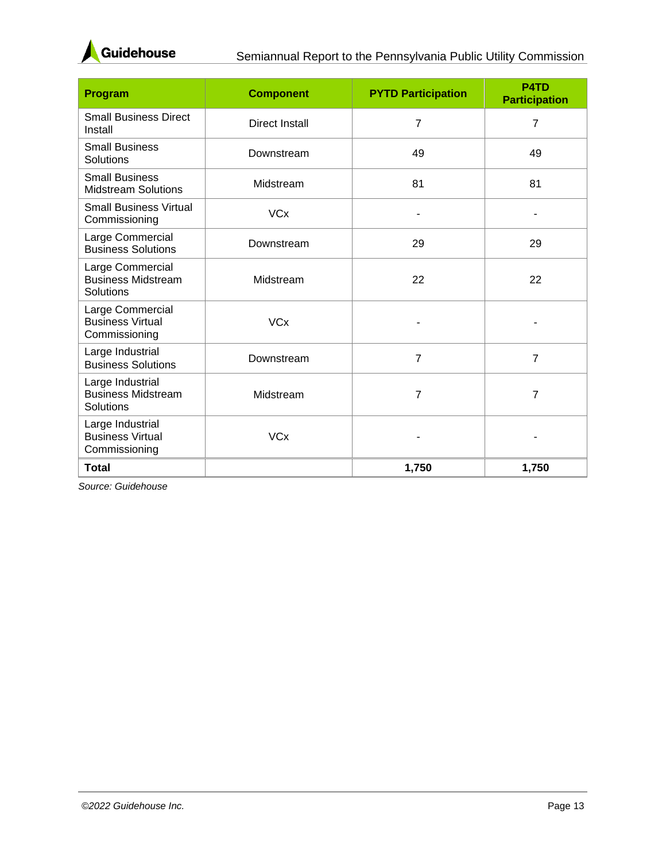

| Program                                                      | <b>Component</b>      | <b>PYTD Participation</b> | P <sub>4</sub> T <sub>D</sub><br><b>Participation</b> |
|--------------------------------------------------------------|-----------------------|---------------------------|-------------------------------------------------------|
| <b>Small Business Direct</b><br>Install                      | <b>Direct Install</b> | $\overline{7}$            | 7                                                     |
| <b>Small Business</b><br>Solutions                           | Downstream            | 49                        | 49                                                    |
| <b>Small Business</b><br><b>Midstream Solutions</b>          | Midstream             | 81                        | 81                                                    |
| <b>Small Business Virtual</b><br>Commissioning               | <b>VCx</b>            |                           |                                                       |
| Large Commercial<br><b>Business Solutions</b>                | Downstream            | 29                        | 29                                                    |
| Large Commercial<br><b>Business Midstream</b><br>Solutions   | Midstream             | 22                        | 22                                                    |
| Large Commercial<br><b>Business Virtual</b><br>Commissioning | <b>VCx</b>            |                           |                                                       |
| Large Industrial<br><b>Business Solutions</b>                | Downstream            | $\overline{7}$            | $\overline{7}$                                        |
| Large Industrial<br><b>Business Midstream</b><br>Solutions   | Midstream             | $\overline{7}$            | 7                                                     |
| Large Industrial<br><b>Business Virtual</b><br>Commissioning | <b>VCx</b>            |                           |                                                       |
| <b>Total</b>                                                 |                       | 1,750                     | 1,750                                                 |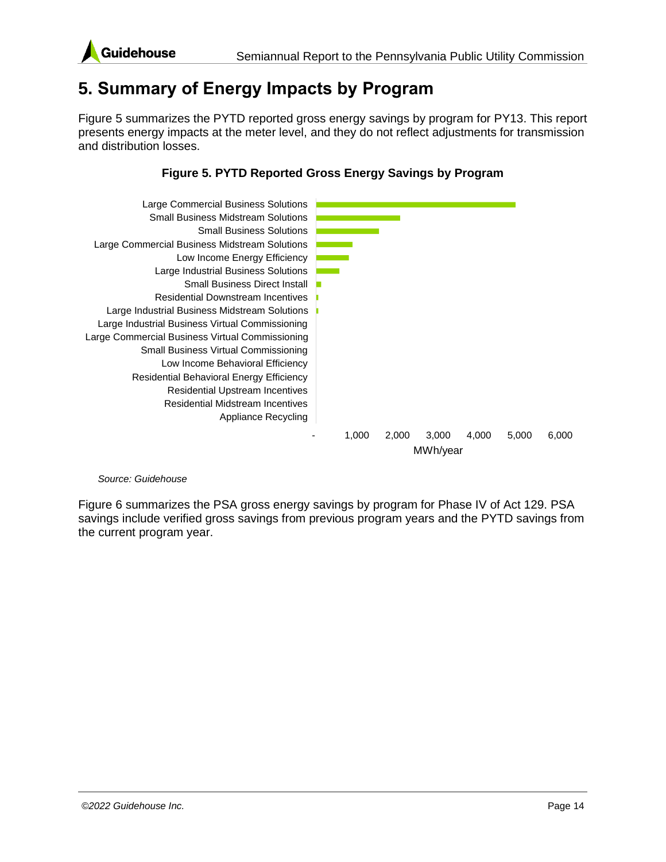

### <span id="page-20-0"></span>**5. Summary of Energy Impacts by Program**

[Figure 5](#page-20-1) summarizes the PYTD reported gross energy savings by program for PY13. This report presents energy impacts at the meter level, and they do not reflect adjustments for transmission and distribution losses.

#### **Figure 5. PYTD Reported Gross Energy Savings by Program**

<span id="page-20-1"></span>

#### *Source: Guidehouse*

[Figure 6](#page-21-1) summarizes the PSA gross energy savings by program for Phase IV of Act 129. PSA savings include verified gross savings from previous program years and the PYTD savings from the current program year.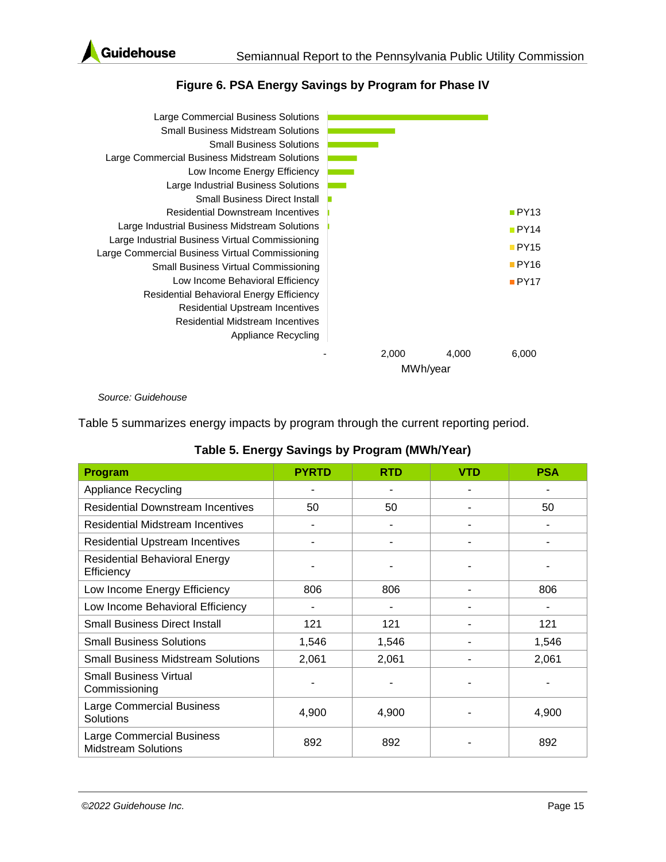

<span id="page-21-1"></span>

| Large Commercial Business Solutions             |       |          |       |
|-------------------------------------------------|-------|----------|-------|
| <b>Small Business Midstream Solutions</b>       |       |          |       |
| <b>Small Business Solutions</b>                 |       |          |       |
| Large Commercial Business Midstream Solutions   |       |          |       |
| Low Income Energy Efficiency                    |       |          |       |
| Large Industrial Business Solutions             |       |          |       |
| <b>Small Business Direct Install</b>            |       |          |       |
| <b>Residential Downstream Incentives</b>        |       |          | PY13  |
| Large Industrial Business Midstream Solutions   |       |          | PY14  |
| Large Industrial Business Virtual Commissioning |       |          | PY15  |
| Large Commercial Business Virtual Commissioning |       |          |       |
| <b>Small Business Virtual Commissioning</b>     |       |          | PY16  |
| Low Income Behavioral Efficiency                |       |          | PY17  |
| Residential Behavioral Energy Efficiency        |       |          |       |
| <b>Residential Upstream Incentives</b>          |       |          |       |
| Residential Midstream Incentives                |       |          |       |
| Appliance Recycling                             |       |          |       |
|                                                 | 2,000 | 4,000    | 6,000 |
|                                                 |       | MWh/year |       |

#### **Figure 6. PSA Energy Savings by Program for Phase IV**

*Source: Guidehouse*

[Table](#page-21-0) 5 summarizes energy impacts by program through the current reporting period.

|  |  | Table 5. Energy Savings by Program (MWh/Year) |  |
|--|--|-----------------------------------------------|--|
|  |  |                                               |  |

<span id="page-21-0"></span>

| <b>Program</b>                                          | <b>PYRTD</b> | <b>RTD</b> | <b>VTD</b> | <b>PSA</b> |
|---------------------------------------------------------|--------------|------------|------------|------------|
| <b>Appliance Recycling</b>                              |              |            |            |            |
| <b>Residential Downstream Incentives</b>                | 50           | 50         |            | 50         |
| <b>Residential Midstream Incentives</b>                 |              |            |            |            |
| <b>Residential Upstream Incentives</b>                  | ٠            |            |            |            |
| <b>Residential Behavioral Energy</b><br>Efficiency      |              |            |            |            |
| Low Income Energy Efficiency                            | 806          | 806        |            | 806        |
| Low Income Behavioral Efficiency                        | ۰            |            |            |            |
| <b>Small Business Direct Install</b>                    | 121          | 121        |            | 121        |
| <b>Small Business Solutions</b>                         | 1,546        | 1,546      |            | 1,546      |
| <b>Small Business Midstream Solutions</b>               | 2,061        | 2,061      |            | 2,061      |
| <b>Small Business Virtual</b><br>Commissioning          |              |            |            |            |
| <b>Large Commercial Business</b><br>Solutions           | 4,900        | 4,900      |            | 4,900      |
| Large Commercial Business<br><b>Midstream Solutions</b> | 892          | 892        |            | 892        |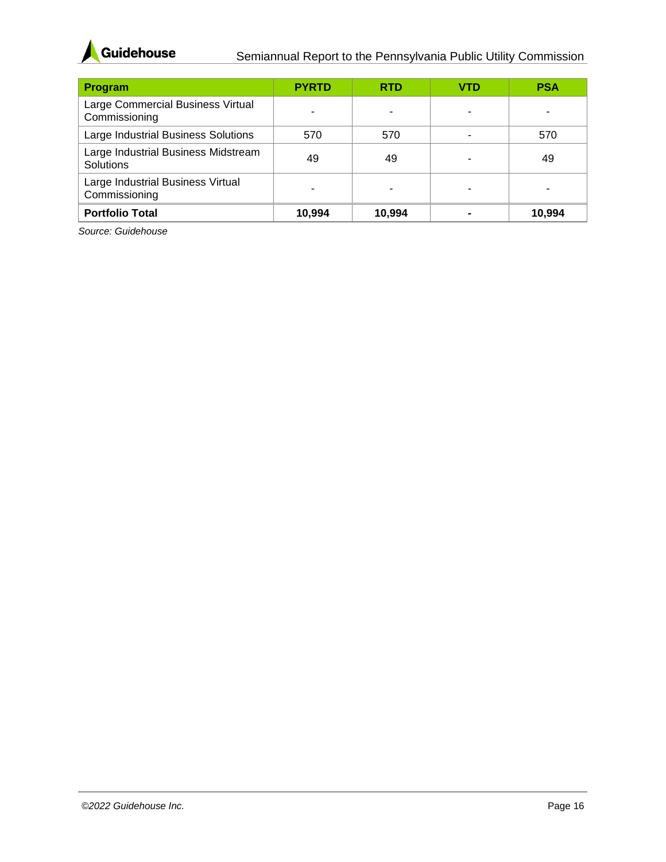

| Program                                            | <b>PYRTD</b> | <b>RTD</b> | VTD | <b>PSA</b> |
|----------------------------------------------------|--------------|------------|-----|------------|
| Large Commercial Business Virtual<br>Commissioning | ۰            |            |     |            |
| Large Industrial Business Solutions                | 570          | 570        |     | 570        |
| Large Industrial Business Midstream<br>Solutions   | 49           | 49         |     | 49         |
| Large Industrial Business Virtual<br>Commissioning | ٠            |            | -   |            |
| <b>Portfolio Total</b>                             | 10.994       | 10,994     |     | 10.994     |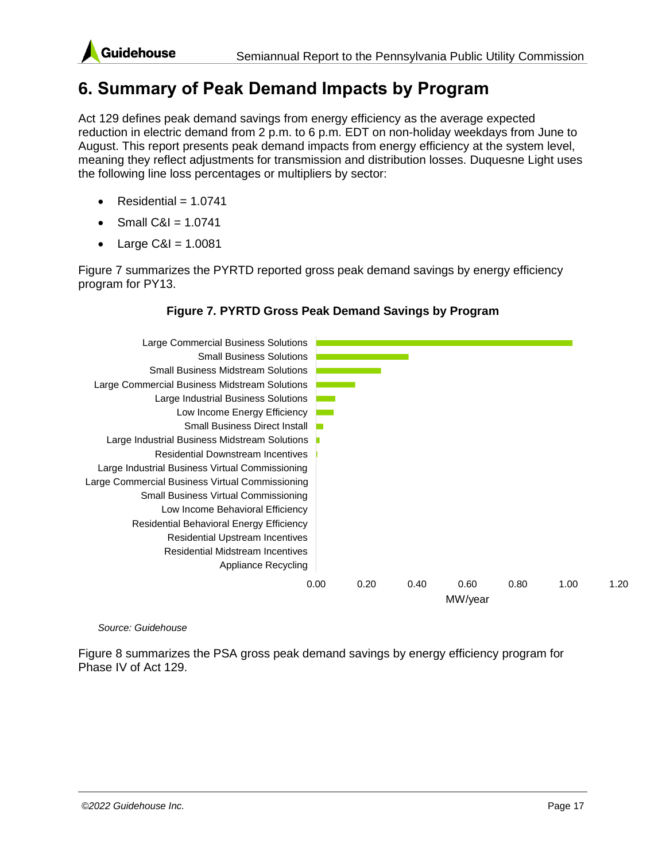

### <span id="page-23-0"></span>**6. Summary of Peak Demand Impacts by Program**

Act 129 defines peak demand savings from energy efficiency as the average expected reduction in electric demand from 2 p.m. to 6 p.m. EDT on non-holiday weekdays from June to August. This report presents peak demand impacts from energy efficiency at the system level, meaning they reflect adjustments for transmission and distribution losses. Duquesne Light uses the following line loss percentages or multipliers by sector:

- $Residential = 1.0741$
- Small C&I = 1.0741
- $Large C&I = 1.0081$

[Figure 7](#page-23-1) summarizes the PYRTD reported gross peak demand savings by energy efficiency program for PY13.

#### **Figure 7. PYRTD Gross Peak Demand Savings by Program**

<span id="page-23-1"></span>

#### *Source: Guidehouse*

[Figure 8](#page-24-1) summarizes the PSA gross peak demand savings by energy efficiency program for Phase IV of Act 129.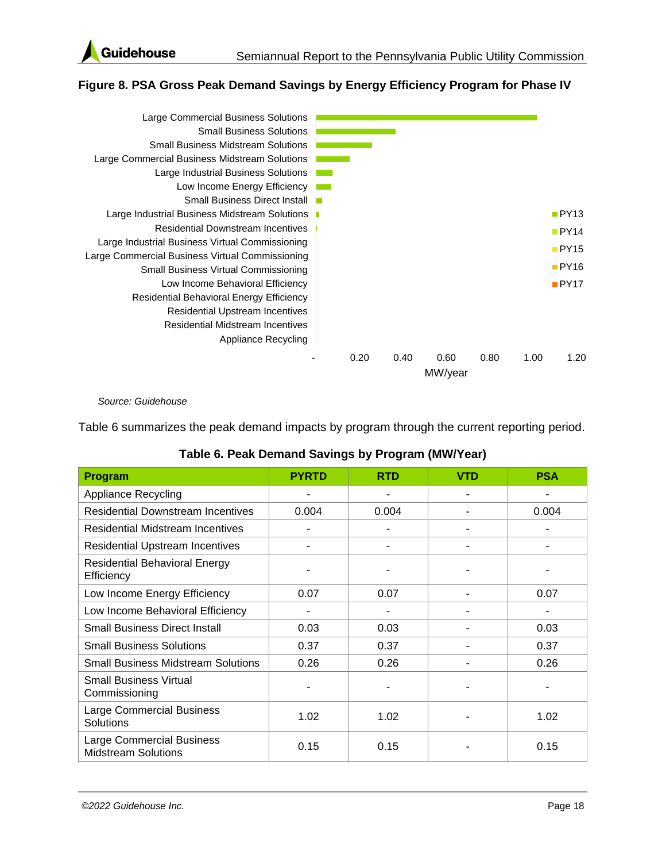

#### <span id="page-24-1"></span>**Figure 8. PSA Gross Peak Demand Savings by Energy Efficiency Program for Phase IV**



*Source: Guidehouse*

[Table 6](#page-24-0) summarizes the peak demand impacts by program through the current reporting period.

<span id="page-24-0"></span>

| <b>Program</b>                                                 | <b>PYRTD</b> | <b>RTD</b> | <b>VTD</b> | <b>PSA</b> |
|----------------------------------------------------------------|--------------|------------|------------|------------|
| <b>Appliance Recycling</b>                                     |              |            |            |            |
| <b>Residential Downstream Incentives</b>                       | 0.004        | 0.004      |            | 0.004      |
| <b>Residential Midstream Incentives</b>                        |              |            | ۰          |            |
| <b>Residential Upstream Incentives</b>                         |              |            |            |            |
| <b>Residential Behavioral Energy</b><br>Efficiency             |              |            |            |            |
| Low Income Energy Efficiency                                   | 0.07         | 0.07       | ۰          | 0.07       |
| Low Income Behavioral Efficiency                               |              |            |            |            |
| <b>Small Business Direct Install</b>                           | 0.03         | 0.03       |            | 0.03       |
| <b>Small Business Solutions</b>                                | 0.37         | 0.37       |            | 0.37       |
| <b>Small Business Midstream Solutions</b>                      | 0.26         | 0.26       |            | 0.26       |
| <b>Small Business Virtual</b><br>Commissioning                 |              |            |            |            |
| <b>Large Commercial Business</b><br>Solutions                  | 1.02         | 1.02       |            | 1.02       |
| <b>Large Commercial Business</b><br><b>Midstream Solutions</b> | 0.15         | 0.15       |            | 0.15       |

#### **Table 6. Peak Demand Savings by Program (MW/Year)**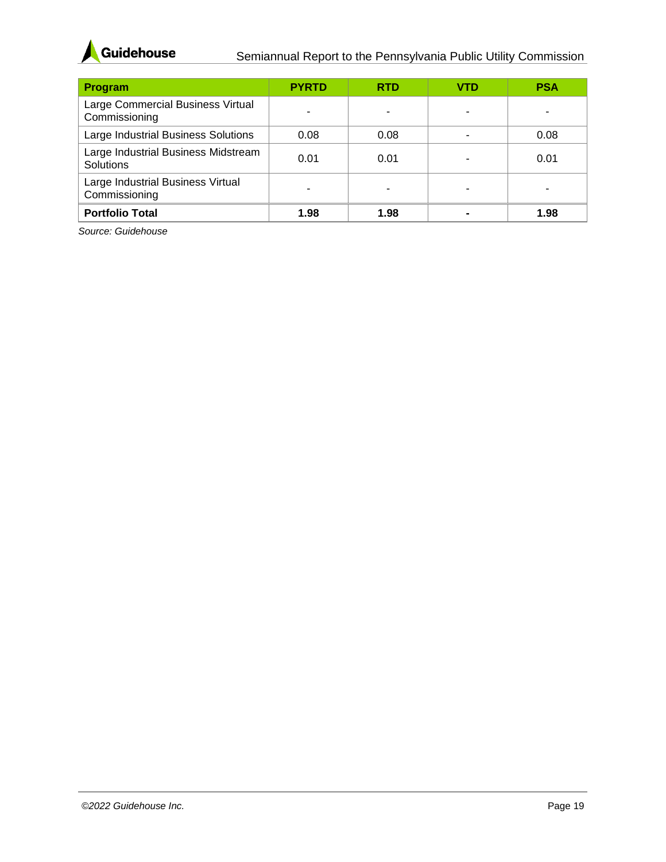

| Program                                            | <b>PYRTD</b> | <b>RTD</b> | VTD | <b>PSA</b> |
|----------------------------------------------------|--------------|------------|-----|------------|
| Large Commercial Business Virtual<br>Commissioning |              |            |     |            |
| Large Industrial Business Solutions                | 0.08         | 0.08       |     | 0.08       |
| Large Industrial Business Midstream<br>Solutions   | 0.01         | 0.01       |     | 0.01       |
| Large Industrial Business Virtual<br>Commissioning |              |            |     |            |
| <b>Portfolio Total</b>                             | 1.98         | 1.98       |     | 1.98       |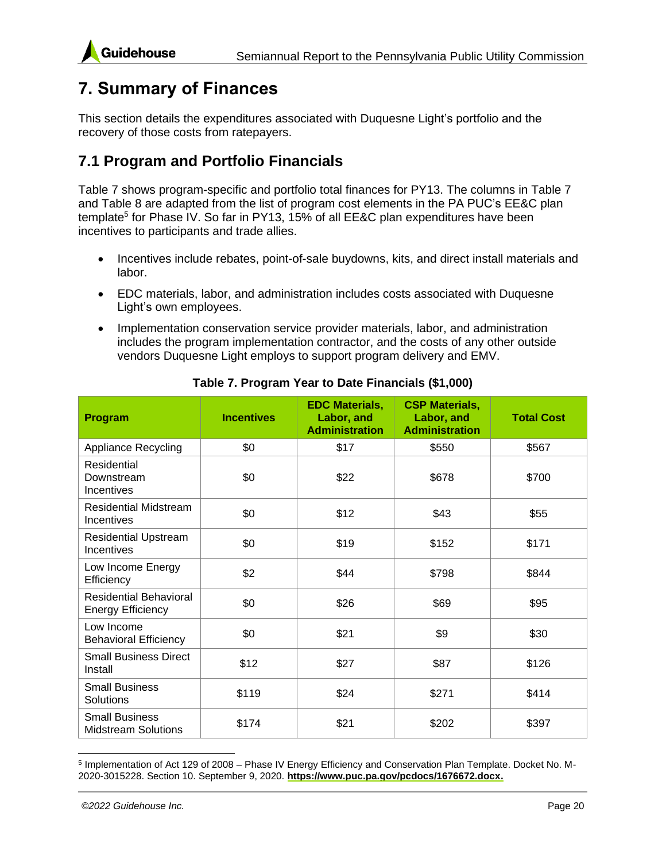# <span id="page-26-0"></span>**7. Summary of Finances**

This section details the expenditures associated with Duquesne Light's portfolio and the recovery of those costs from ratepayers.

### <span id="page-26-1"></span>**7.1 Program and Portfolio Financials**

[Table 7](#page-26-2) shows program-specific and portfolio total finances for PY13. The columns in [Table 7](#page-26-2) and [Table 8](#page-28-0) are adapted from the list of program cost elements in the PA PUC's EE&C plan template<sup>5</sup> for Phase IV. So far in PY13, 15% of all EE&C plan expenditures have been incentives to participants and trade allies.

- Incentives include rebates, point-of-sale buydowns, kits, and direct install materials and labor.
- EDC materials, labor, and administration includes costs associated with Duquesne Light's own employees.
- Implementation conservation service provider materials, labor, and administration includes the program implementation contractor, and the costs of any other outside vendors Duquesne Light employs to support program delivery and EMV.

<span id="page-26-2"></span>

| Program                                                   | <b>Incentives</b> | <b>EDC Materials,</b><br>Labor, and<br><b>Administration</b> | <b>CSP Materials,</b><br>Labor, and<br><b>Administration</b> | <b>Total Cost</b> |
|-----------------------------------------------------------|-------------------|--------------------------------------------------------------|--------------------------------------------------------------|-------------------|
| <b>Appliance Recycling</b>                                | \$0               | \$17                                                         | \$550                                                        | \$567             |
| Residential<br>Downstream<br>Incentives                   | \$0               | \$22                                                         | \$678                                                        | \$700             |
| <b>Residential Midstream</b><br>Incentives                | \$0               | \$12                                                         | \$43                                                         | \$55              |
| <b>Residential Upstream</b><br>Incentives                 | \$0               | \$19                                                         | \$152                                                        | \$171             |
| Low Income Energy<br>Efficiency                           | \$2               | \$44                                                         | \$798                                                        | \$844             |
| <b>Residential Behavioral</b><br><b>Energy Efficiency</b> | \$0               | \$26                                                         | \$69                                                         | \$95              |
| Low Income<br><b>Behavioral Efficiency</b>                | \$0               | \$21                                                         | \$9                                                          | \$30              |
| <b>Small Business Direct</b><br>Install                   | \$12              | \$27                                                         | \$87                                                         | \$126             |
| <b>Small Business</b><br>Solutions                        | \$119             | \$24                                                         | \$271                                                        | \$414             |
| <b>Small Business</b><br><b>Midstream Solutions</b>       | \$174             | \$21                                                         | \$202                                                        | \$397             |

#### **Table 7. Program Year to Date Financials (\$1,000)**

<sup>5</sup> Implementation of Act 129 of 2008 – Phase IV Energy Efficiency and Conservation Plan Template. Docket No. M-2020-3015228. Section 10. September 9, 2020. **[https://www.puc.pa.gov/pcdocs/1676672.docx.](https://www.puc.pa.gov/pcdocs/1676672.docx)**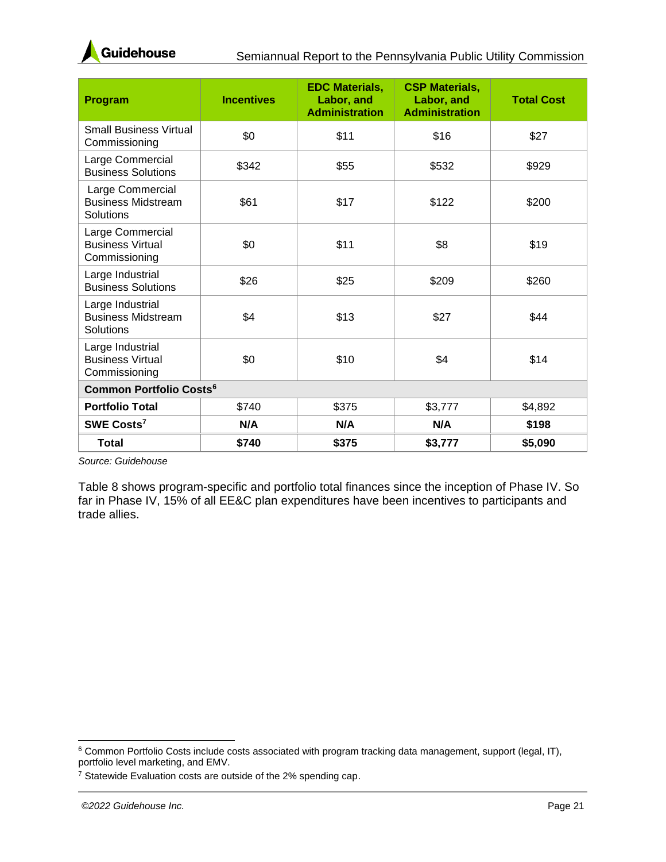

| Program                                                      | <b>Incentives</b> | <b>EDC Materials,</b><br>Labor, and<br><b>Administration</b> | <b>CSP Materials,</b><br>Labor, and<br><b>Administration</b> | <b>Total Cost</b> |  |  |
|--------------------------------------------------------------|-------------------|--------------------------------------------------------------|--------------------------------------------------------------|-------------------|--|--|
| <b>Small Business Virtual</b><br>Commissioning               | \$0               | \$11                                                         | \$16                                                         | \$27              |  |  |
| Large Commercial<br><b>Business Solutions</b>                | \$342             | \$55                                                         | \$532                                                        | \$929             |  |  |
| Large Commercial<br><b>Business Midstream</b><br>Solutions   | \$61              | \$17                                                         | \$122                                                        | \$200             |  |  |
| Large Commercial<br><b>Business Virtual</b><br>Commissioning | \$0               | \$11                                                         | \$8                                                          | \$19              |  |  |
| Large Industrial<br><b>Business Solutions</b>                | \$26              | \$25                                                         | \$209                                                        | \$260             |  |  |
| Large Industrial<br><b>Business Midstream</b><br>Solutions   | \$4               | \$13                                                         | \$27                                                         | \$44              |  |  |
| Large Industrial<br><b>Business Virtual</b><br>Commissioning | \$0               | \$10                                                         | \$4                                                          | \$14              |  |  |
| <b>Common Portfolio Costs<sup>6</sup></b>                    |                   |                                                              |                                                              |                   |  |  |
| <b>Portfolio Total</b>                                       | \$740             | \$375                                                        | \$3,777                                                      | \$4,892           |  |  |
| SWE Costs <sup>7</sup>                                       | N/A               | N/A                                                          | N/A                                                          | \$198             |  |  |
| <b>Total</b>                                                 | \$740             | \$375                                                        | \$3,777                                                      | \$5,090           |  |  |

[Table 8](#page-28-0) shows program-specific and portfolio total finances since the inception of Phase IV. So far in Phase IV, 15% of all EE&C plan expenditures have been incentives to participants and trade allies.

<sup>6</sup> Common Portfolio Costs include costs associated with program tracking data management, support (legal, IT), portfolio level marketing, and EMV.

<sup>7</sup> Statewide Evaluation costs are outside of the 2% spending cap.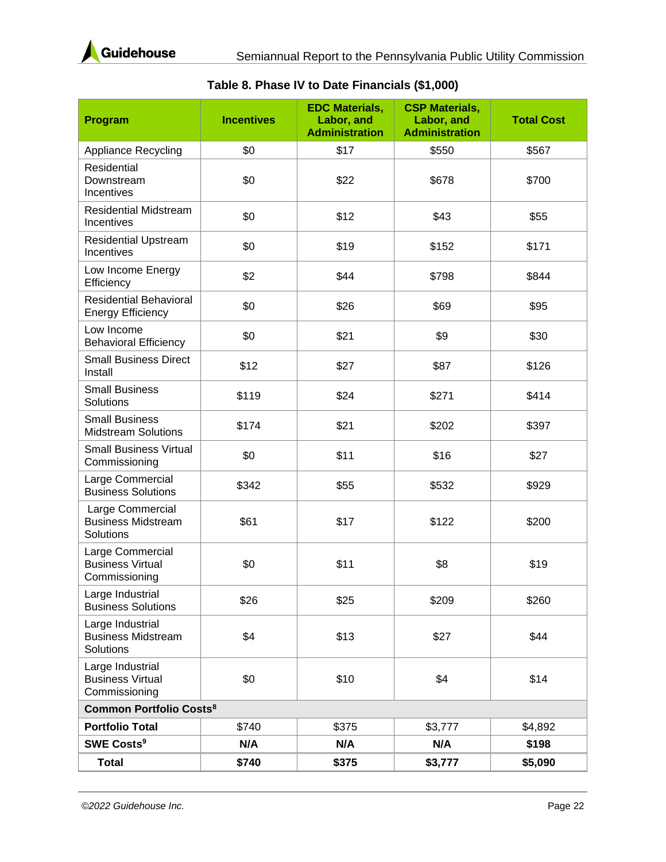

<span id="page-28-0"></span>

| Program                                                      | <b>Incentives</b> | <b>EDC Materials,</b><br>Labor, and<br><b>Administration</b> | <b>CSP Materials,</b><br>Labor, and<br><b>Administration</b> | <b>Total Cost</b> |  |
|--------------------------------------------------------------|-------------------|--------------------------------------------------------------|--------------------------------------------------------------|-------------------|--|
| <b>Appliance Recycling</b>                                   | \$0               | \$17                                                         | \$550                                                        | \$567             |  |
| Residential<br>Downstream<br>Incentives                      | \$0               | \$22                                                         | \$678                                                        | \$700             |  |
| <b>Residential Midstream</b><br>Incentives                   | \$0               | \$12                                                         | \$43                                                         | \$55              |  |
| <b>Residential Upstream</b><br>Incentives                    | \$0               | \$19                                                         | \$152                                                        | \$171             |  |
| Low Income Energy<br>Efficiency                              | \$2               | \$44                                                         | \$798                                                        | \$844             |  |
| <b>Residential Behavioral</b><br><b>Energy Efficiency</b>    | \$0               | \$26                                                         | \$69                                                         | \$95              |  |
| Low Income<br><b>Behavioral Efficiency</b>                   | \$0               | \$21                                                         | \$9                                                          | \$30              |  |
| <b>Small Business Direct</b><br>Install                      | \$12              | \$27                                                         | \$87                                                         | \$126             |  |
| <b>Small Business</b><br>Solutions                           | \$119             | \$24                                                         | \$271                                                        | \$414             |  |
| <b>Small Business</b><br><b>Midstream Solutions</b>          | \$174             | \$21                                                         | \$202                                                        | \$397             |  |
| <b>Small Business Virtual</b><br>Commissioning               | \$0               | \$11                                                         | \$16                                                         | \$27              |  |
| Large Commercial<br><b>Business Solutions</b>                | \$342             | \$55                                                         | \$532                                                        | \$929             |  |
| Large Commercial<br><b>Business Midstream</b><br>Solutions   | \$61              | \$17                                                         | \$122                                                        | \$200             |  |
| Large Commercial<br><b>Business Virtual</b><br>Commissioning | \$0               | \$11                                                         | \$8                                                          | \$19              |  |
| Large Industrial<br><b>Business Solutions</b>                | \$26              | \$25                                                         | \$209                                                        | \$260             |  |
| Large Industrial<br><b>Business Midstream</b><br>Solutions   | \$4               | \$13                                                         | \$27                                                         | \$44              |  |
| Large Industrial<br><b>Business Virtual</b><br>Commissioning | \$0               | \$10                                                         | \$4                                                          | \$14              |  |
| <b>Common Portfolio Costs<sup>8</sup></b>                    |                   |                                                              |                                                              |                   |  |
| <b>Portfolio Total</b>                                       | \$740             | \$375                                                        | \$3,777                                                      | \$4,892           |  |
| <b>SWE Costs<sup>9</sup></b>                                 | N/A               | N/A                                                          | N/A                                                          | \$198             |  |
| <b>Total</b>                                                 | \$740             | \$375                                                        | \$3,777                                                      | \$5,090           |  |

#### **Table 8. Phase IV to Date Financials (\$1,000)**